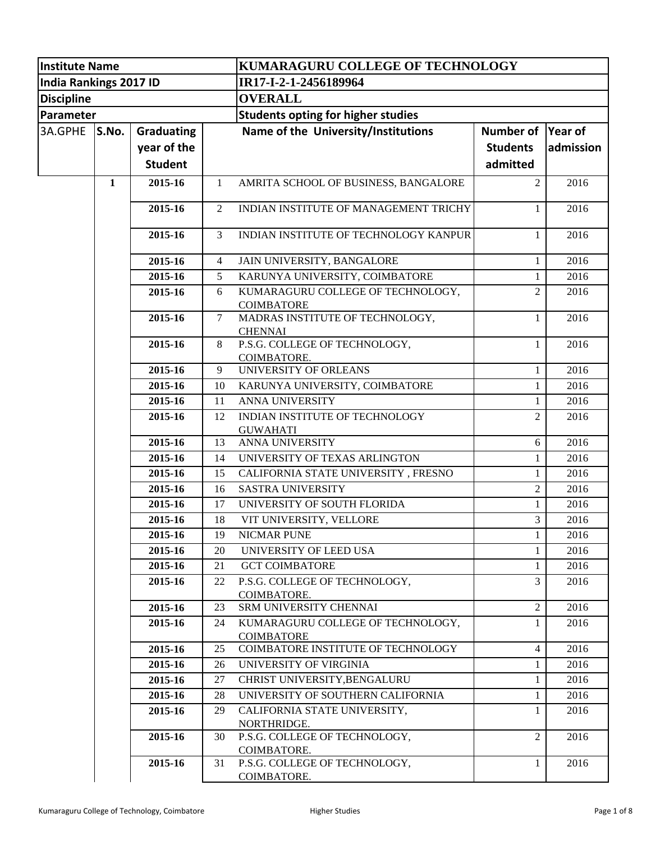| <b>Institute Name</b>  |              |                   |                | KUMARAGURU COLLEGE OF TECHNOLOGY                        |                             |           |  |
|------------------------|--------------|-------------------|----------------|---------------------------------------------------------|-----------------------------|-----------|--|
| India Rankings 2017 ID |              |                   |                | IR17-I-2-1-2456189964                                   |                             |           |  |
| <b>Discipline</b>      |              |                   |                | <b>OVERALL</b>                                          |                             |           |  |
| Parameter              |              |                   |                | <b>Students opting for higher studies</b>               |                             |           |  |
| 3A.GPHE                | S.No.        | <b>Graduating</b> |                | Name of the University/Institutions                     | <b>Number of</b><br>Year of |           |  |
|                        |              |                   |                |                                                         |                             |           |  |
|                        |              | year of the       |                |                                                         | <b>Students</b>             | admission |  |
|                        |              | <b>Student</b>    |                |                                                         | admitted                    |           |  |
|                        | $\mathbf{1}$ | 2015-16           | $\mathbf{1}$   | AMRITA SCHOOL OF BUSINESS, BANGALORE                    | $\overline{2}$              | 2016      |  |
|                        |              | 2015-16           | 2              | INDIAN INSTITUTE OF MANAGEMENT TRICHY                   | 1                           | 2016      |  |
|                        |              | 2015-16           | $\overline{3}$ | INDIAN INSTITUTE OF TECHNOLOGY KANPUR                   | 1                           | 2016      |  |
|                        |              | 2015-16           | 4              | JAIN UNIVERSITY, BANGALORE                              | 1                           | 2016      |  |
|                        |              | 2015-16           | 5              | KARUNYA UNIVERSITY, COIMBATORE                          | 1                           | 2016      |  |
|                        |              | 2015-16           | 6              | KUMARAGURU COLLEGE OF TECHNOLOGY,<br><b>COIMBATORE</b>  | $\overline{2}$              | 2016      |  |
|                        |              | 2015-16           | 7              | MADRAS INSTITUTE OF TECHNOLOGY,                         | 1                           | 2016      |  |
|                        |              |                   |                | <b>CHENNAI</b>                                          |                             |           |  |
|                        |              | 2015-16           | 8              | P.S.G. COLLEGE OF TECHNOLOGY,                           | 1                           | 2016      |  |
|                        |              |                   |                | COIMBATORE.                                             |                             |           |  |
|                        |              | 2015-16           | 9              | UNIVERSITY OF ORLEANS                                   | 1                           | 2016      |  |
|                        |              | 2015-16           | 10             | KARUNYA UNIVERSITY, COIMBATORE                          | 1                           | 2016      |  |
|                        |              | 2015-16           | 11             | <b>ANNA UNIVERSITY</b>                                  | 1                           | 2016      |  |
|                        |              | 2015-16           | 12             | INDIAN INSTITUTE OF TECHNOLOGY                          | $\overline{2}$              | 2016      |  |
|                        |              |                   |                | <b>GUWAHATI</b>                                         |                             |           |  |
|                        |              | 2015-16           | 13             | <b>ANNA UNIVERSITY</b>                                  | 6                           | 2016      |  |
|                        |              | 2015-16           | 14             | UNIVERSITY OF TEXAS ARLINGTON                           | 1                           | 2016      |  |
|                        |              | 2015-16           | 15             | CALIFORNIA STATE UNIVERSITY, FRESNO                     | $\mathbf{1}$                | 2016      |  |
|                        |              | 2015-16           | 16             | <b>SASTRA UNIVERSITY</b>                                | $\overline{c}$              | 2016      |  |
|                        |              | 2015-16           | 17             | UNIVERSITY OF SOUTH FLORIDA                             | 1                           | 2016      |  |
|                        |              | 2015-16           | 18             | VIT UNIVERSITY, VELLORE                                 | 3                           | 2016      |  |
|                        |              | 2015-16           | 19             | <b>NICMAR PUNE</b>                                      | 1                           | 2016      |  |
|                        |              | 2015-16           | 20             | UNIVERSITY OF LEED USA                                  | 1                           | 2016      |  |
|                        |              | 2015-16           | 21             | <b>GCT COIMBATORE</b>                                   | 1                           | 2016      |  |
|                        |              | 2015-16           | 22             | P.S.G. COLLEGE OF TECHNOLOGY,<br>COIMBATORE.            | 3                           | 2016      |  |
|                        |              | 2015-16           | 23             | SRM UNIVERSITY CHENNAI                                  | $\overline{c}$              | 2016      |  |
|                        |              | 2015-16           | 24             | KUMARAGURU COLLEGE OF TECHNOLOGY,                       | 1                           | 2016      |  |
|                        |              |                   |                | <b>COIMBATORE</b><br>COIMBATORE INSTITUTE OF TECHNOLOGY |                             |           |  |
|                        |              | 2015-16           | 25             |                                                         | 4                           | 2016      |  |
|                        |              | 2015-16           | 26             | UNIVERSITY OF VIRGINIA                                  | 1                           | 2016      |  |
|                        |              | 2015-16           | 27             | CHRIST UNIVERSITY, BENGALURU                            | $\mathbf{1}$                | 2016      |  |
|                        |              | 2015-16           | 28             | UNIVERSITY OF SOUTHERN CALIFORNIA                       | $\mathbf{1}$                | 2016      |  |
|                        |              | 2015-16           | 29             | CALIFORNIA STATE UNIVERSITY,<br>NORTHRIDGE.             | $\mathbf{1}$                | 2016      |  |
|                        |              | 2015-16           | 30             | P.S.G. COLLEGE OF TECHNOLOGY,<br>COIMBATORE.            | 2                           | 2016      |  |
|                        |              | 2015-16           | 31             | P.S.G. COLLEGE OF TECHNOLOGY,<br>COIMBATORE.            | 1                           | 2016      |  |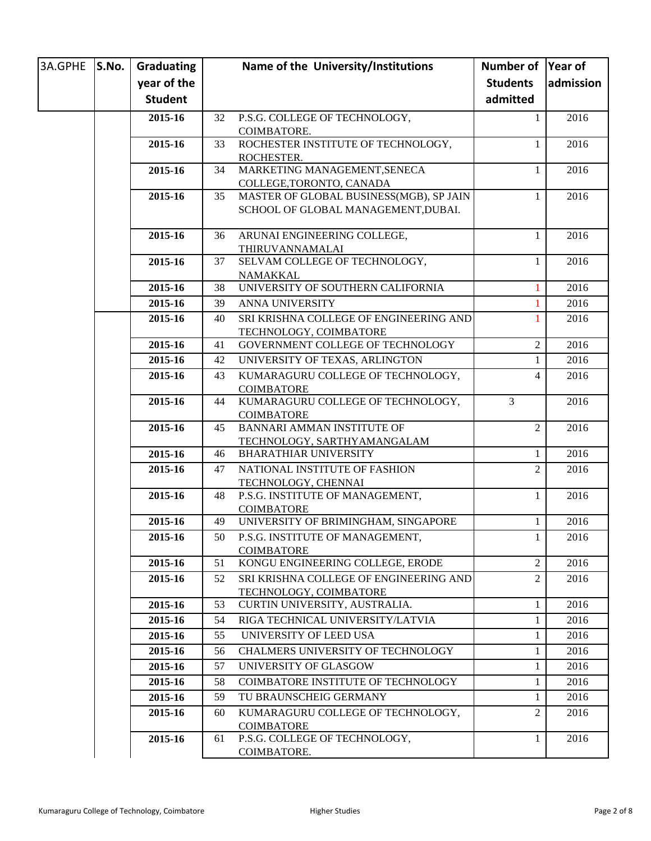| 3A.GPHE | S.No. | Graduating     |    | Name of the University/Institutions                                            | Number of Year of |           |
|---------|-------|----------------|----|--------------------------------------------------------------------------------|-------------------|-----------|
|         |       | year of the    |    |                                                                                | <b>Students</b>   | admission |
|         |       | <b>Student</b> |    |                                                                                | admitted          |           |
|         |       | 2015-16        | 32 | P.S.G. COLLEGE OF TECHNOLOGY,                                                  | 1                 | 2016      |
|         |       |                |    | COIMBATORE.                                                                    |                   |           |
|         |       | 2015-16        | 33 | ROCHESTER INSTITUTE OF TECHNOLOGY,                                             | 1                 | 2016      |
|         |       |                |    | ROCHESTER.                                                                     |                   |           |
|         |       | 2015-16        | 34 | MARKETING MANAGEMENT, SENECA                                                   | 1                 | 2016      |
|         |       |                |    | COLLEGE, TORONTO, CANADA                                                       |                   |           |
|         |       | 2015-16        | 35 | MASTER OF GLOBAL BUSINESS(MGB), SP JAIN<br>SCHOOL OF GLOBAL MANAGEMENT, DUBAI. | 1                 | 2016      |
|         |       |                |    |                                                                                |                   |           |
|         |       | 2015-16        | 36 | ARUNAI ENGINEERING COLLEGE,                                                    | 1                 | 2016      |
|         |       |                |    | THIRUVANNAMALAI                                                                |                   |           |
|         |       | 2015-16        | 37 | SELVAM COLLEGE OF TECHNOLOGY,                                                  | 1                 | 2016      |
|         |       |                |    | NAMAKKAL                                                                       |                   |           |
|         |       | 2015-16        | 38 | UNIVERSITY OF SOUTHERN CALIFORNIA                                              |                   | 2016      |
|         |       | 2015-16        | 39 | ANNA UNIVERSITY                                                                |                   | 2016      |
|         |       | 2015-16        | 40 | SRI KRISHNA COLLEGE OF ENGINEERING AND                                         |                   | 2016      |
|         |       |                |    | TECHNOLOGY, COIMBATORE                                                         |                   | 2016      |
|         |       | 2015-16        | 41 | GOVERNMENT COLLEGE OF TECHNOLOGY                                               | $\mathfrak{2}$    |           |
|         |       | 2015-16        | 42 | UNIVERSITY OF TEXAS, ARLINGTON                                                 | 1                 | 2016      |
|         |       | 2015-16        | 43 | KUMARAGURU COLLEGE OF TECHNOLOGY,                                              | 4                 | 2016      |
|         |       | 2015-16        | 44 | <b>COIMBATORE</b><br>KUMARAGURU COLLEGE OF TECHNOLOGY,                         | 3                 | 2016      |
|         |       |                |    | <b>COIMBATORE</b>                                                              |                   |           |
|         |       | 2015-16        | 45 | <b>BANNARI AMMAN INSTITUTE OF</b>                                              | $\overline{2}$    | 2016      |
|         |       |                |    | TECHNOLOGY, SARTHYAMANGALAM                                                    |                   |           |
|         |       | 2015-16        | 46 | <b>BHARATHIAR UNIVERSITY</b>                                                   | 1                 | 2016      |
|         |       | 2015-16        | 47 | NATIONAL INSTITUTE OF FASHION                                                  | $\overline{2}$    | 2016      |
|         |       |                |    | TECHNOLOGY, CHENNAI                                                            |                   |           |
|         |       | 2015-16        | 48 | P.S.G. INSTITUTE OF MANAGEMENT,                                                | 1                 | 2016      |
|         |       |                |    | <b>COIMBATORE</b>                                                              |                   |           |
|         |       | 2015-16        | 49 | UNIVERSITY OF BRIMINGHAM, SINGAPORE                                            | 1                 | 2016      |
|         |       | 2015-16        | 50 | P.S.G. INSTITUTE OF MANAGEMENT,<br><b>COIMBATORE</b>                           | $\mathbf{I}$      | 2016      |
|         |       | 2015-16        | 51 | KONGU ENGINEERING COLLEGE, ERODE                                               | 2                 | 2016      |
|         |       | 2015-16        | 52 | SRI KRISHNA COLLEGE OF ENGINEERING AND                                         | $\overline{2}$    | 2016      |
|         |       |                |    | TECHNOLOGY, COIMBATORE                                                         |                   |           |
|         |       | 2015-16        | 53 | CURTIN UNIVERSITY, AUSTRALIA.                                                  | 1                 | 2016      |
|         |       | 2015-16        | 54 | RIGA TECHNICAL UNIVERSITY/LATVIA                                               | 1                 | 2016      |
|         |       | 2015-16        | 55 | UNIVERSITY OF LEED USA                                                         | 1                 | 2016      |
|         |       | 2015-16        | 56 | <b>CHALMERS UNIVERSITY OF TECHNOLOGY</b>                                       | 1                 | 2016      |
|         |       | 2015-16        | 57 | UNIVERSITY OF GLASGOW                                                          | 1                 | 2016      |
|         |       | 2015-16        | 58 | COIMBATORE INSTITUTE OF TECHNOLOGY                                             | 1                 | 2016      |
|         |       | 2015-16        | 59 | TU BRAUNSCHEIG GERMANY                                                         | 1                 | 2016      |
|         |       | 2015-16        | 60 | KUMARAGURU COLLEGE OF TECHNOLOGY,                                              | $\overline{2}$    | 2016      |
|         |       |                |    | <b>COIMBATORE</b>                                                              |                   |           |
|         |       | 2015-16        | 61 | P.S.G. COLLEGE OF TECHNOLOGY,                                                  | 1                 | 2016      |
|         |       |                |    | COIMBATORE.                                                                    |                   |           |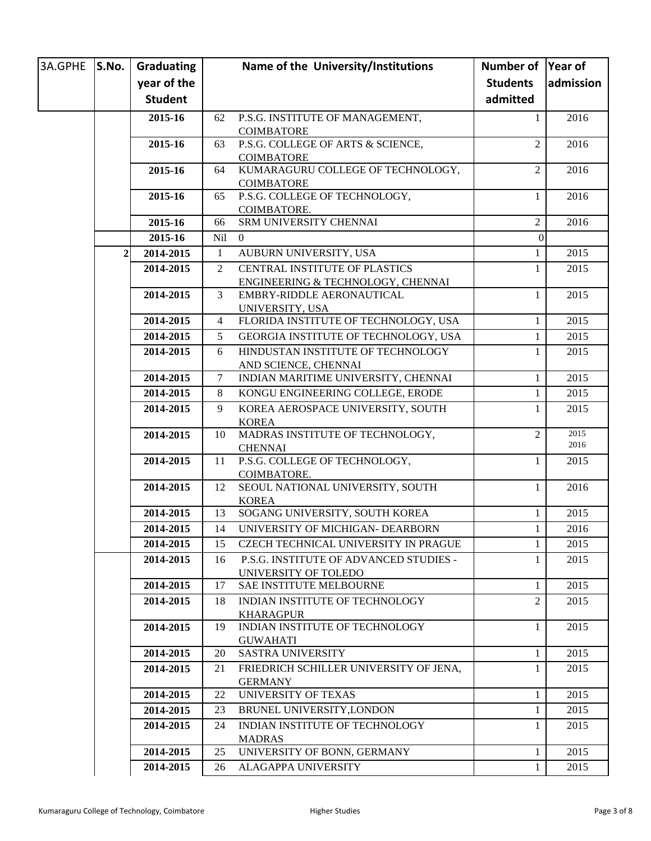| 3A.GPHE | S.No.        | Graduating     |                 | Name of the University/Institutions                      | Number of       | Year of      |
|---------|--------------|----------------|-----------------|----------------------------------------------------------|-----------------|--------------|
|         |              | year of the    |                 |                                                          | <b>Students</b> | admission    |
|         |              | <b>Student</b> |                 |                                                          | admitted        |              |
|         |              | 2015-16        | 62              | P.S.G. INSTITUTE OF MANAGEMENT,                          | $\mathbf{1}$    | 2016         |
|         |              |                |                 | <b>COIMBATORE</b>                                        |                 |              |
|         |              | 2015-16        | 63              | P.S.G. COLLEGE OF ARTS & SCIENCE,                        | $\overline{2}$  | 2016         |
|         |              |                |                 | <b>COIMBATORE</b>                                        |                 |              |
|         |              | 2015-16        | 64              | KUMARAGURU COLLEGE OF TECHNOLOGY,                        | $\overline{2}$  | 2016         |
|         |              |                |                 | <b>COIMBATORE</b>                                        |                 |              |
|         |              | 2015-16        | 65              | P.S.G. COLLEGE OF TECHNOLOGY,<br>COIMBATORE.             | 1               | 2016         |
|         |              | 2015-16        | 66              | SRM UNIVERSITY CHENNAI                                   | $\overline{2}$  | 2016         |
|         |              | 2015-16        | <b>Nil</b>      | $\overline{0}$                                           | $\theta$        |              |
|         | $\mathbf{2}$ | 2014-2015      | $\mathbf{1}$    | AUBURN UNIVERSITY, USA                                   | $\mathbf{1}$    | 2015         |
|         |              | 2014-2015      | 2               | CENTRAL INSTITUTE OF PLASTICS                            | 1               | 2015         |
|         |              |                |                 | ENGINEERING & TECHNOLOGY, CHENNAI                        |                 |              |
|         |              | 2014-2015      | 3               | EMBRY-RIDDLE AERONAUTICAL                                | $\mathbf{1}$    | 2015         |
|         |              |                |                 | UNIVERSITY, USA                                          |                 |              |
|         |              | 2014-2015      | $\overline{4}$  | FLORIDA INSTITUTE OF TECHNOLOGY, USA                     | 1               | 2015         |
|         |              | 2014-2015      | 5 <sup>5</sup>  | GEORGIA INSTITUTE OF TECHNOLOGY, USA                     | $\mathbf{1}$    | 2015         |
|         |              | 2014-2015      | 6               | HINDUSTAN INSTITUTE OF TECHNOLOGY                        | 1               | 2015         |
|         |              |                |                 | AND SCIENCE, CHENNAI                                     |                 |              |
|         |              | 2014-2015      | $7\phantom{.0}$ | INDIAN MARITIME UNIVERSITY, CHENNAI                      | 1               | 2015         |
|         |              | 2014-2015      | 8               | KONGU ENGINEERING COLLEGE, ERODE                         | $\mathbf{1}$    | 2015         |
|         |              | 2014-2015      | 9               | KOREA AEROSPACE UNIVERSITY, SOUTH                        | 1               | 2015         |
|         |              |                |                 | <b>KOREA</b>                                             |                 |              |
|         |              | 2014-2015      | 10              | MADRAS INSTITUTE OF TECHNOLOGY,                          | $\overline{2}$  | 2015<br>2016 |
|         |              |                | 11              | <b>CHENNAI</b><br>P.S.G. COLLEGE OF TECHNOLOGY,          | 1               | 2015         |
|         |              | 2014-2015      |                 | COIMBATORE.                                              |                 |              |
|         |              | 2014-2015      | 12              | SEOUL NATIONAL UNIVERSITY, SOUTH                         | 1               | 2016         |
|         |              |                |                 | <b>KOREA</b>                                             |                 |              |
|         |              | 2014-2015      | 13              | SOGANG UNIVERSITY, SOUTH KOREA                           | 1               | 2015         |
|         |              | 2014-2015      | 14              | UNIVERSITY OF MICHIGAN- DEARBORN                         | 1               | 2016         |
|         |              | 2014-2015      | 15              | CZECH TECHNICAL UNIVERSITY IN PRAGUE                     | 1               | 2015         |
|         |              | 2014-2015      | 16              | P.S.G. INSTITUTE OF ADVANCED STUDIES -                   | 1               | 2015         |
|         |              |                |                 | UNIVERSITY OF TOLEDO                                     |                 |              |
|         |              | 2014-2015      | 17              | SAE INSTITUTE MELBOURNE                                  | $\mathbf{1}$    | 2015         |
|         |              | 2014-2015      | 18              | <b>INDIAN INSTITUTE OF TECHNOLOGY</b>                    | 2               | 2015         |
|         |              |                |                 | <b>KHARAGPUR</b>                                         |                 |              |
|         |              | 2014-2015      | 19              | INDIAN INSTITUTE OF TECHNOLOGY                           | 1               | 2015         |
|         |              | 2014-2015      | 20              | <b>GUWAHATI</b><br><b>SASTRA UNIVERSITY</b>              | 1               | 2015         |
|         |              |                |                 |                                                          |                 |              |
|         |              | 2014-2015      | 21              | FRIEDRICH SCHILLER UNIVERSITY OF JENA,<br><b>GERMANY</b> | 1               | 2015         |
|         |              | 2014-2015      | 22              | <b>UNIVERSITY OF TEXAS</b>                               | 1               | 2015         |
|         |              | 2014-2015      | 23              | BRUNEL UNIVERSITY, LONDON                                | 1               | 2015         |
|         |              | 2014-2015      | 24              | INDIAN INSTITUTE OF TECHNOLOGY                           | 1               | 2015         |
|         |              |                |                 | <b>MADRAS</b>                                            |                 |              |
|         |              | 2014-2015      | 25              | UNIVERSITY OF BONN, GERMANY                              | $\mathbf{1}$    | 2015         |
|         |              | 2014-2015      | 26              | ALAGAPPA UNIVERSITY                                      | $\mathbf{1}$    | 2015         |
|         |              |                |                 |                                                          |                 |              |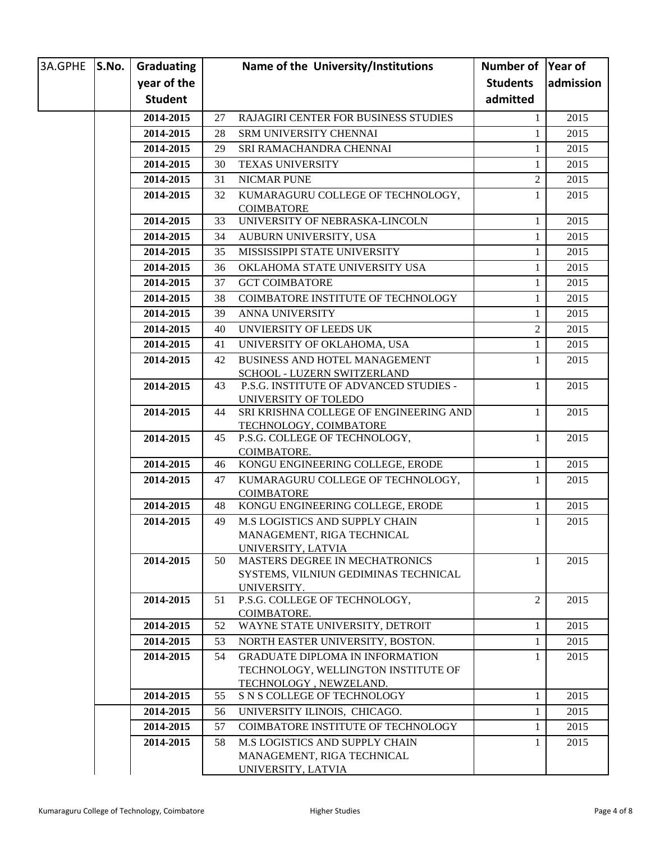| 3A.GPHE S.No. | Graduating     |    | Name of the University/Institutions                     | Number of Year of |           |
|---------------|----------------|----|---------------------------------------------------------|-------------------|-----------|
|               | year of the    |    |                                                         | <b>Students</b>   | admission |
|               | <b>Student</b> |    |                                                         | admitted          |           |
|               | 2014-2015      | 27 | RAJAGIRI CENTER FOR BUSINESS STUDIES                    | 1                 | 2015      |
|               | 2014-2015      | 28 | SRM UNIVERSITY CHENNAI                                  | $\mathbf{1}$      | 2015      |
|               | 2014-2015      | 29 | SRI RAMACHANDRA CHENNAI                                 | $\mathbf{1}$      | 2015      |
|               | 2014-2015      | 30 | <b>TEXAS UNIVERSITY</b>                                 | $\mathbf{1}$      | 2015      |
|               | 2014-2015      | 31 | <b>NICMAR PUNE</b>                                      | $\mathbf{2}$      | 2015      |
|               | 2014-2015      | 32 | KUMARAGURU COLLEGE OF TECHNOLOGY,                       | $\mathbf{1}$      | 2015      |
|               |                |    | <b>COIMBATORE</b>                                       |                   |           |
|               | 2014-2015      | 33 | UNIVERSITY OF NEBRASKA-LINCOLN                          | $\mathbf{1}$      | 2015      |
|               | 2014-2015      | 34 | AUBURN UNIVERSITY, USA                                  | $\mathbf{1}$      | 2015      |
|               | 2014-2015      | 35 | MISSISSIPPI STATE UNIVERSITY                            | $\mathbf{1}$      | 2015      |
|               | 2014-2015      | 36 | OKLAHOMA STATE UNIVERSITY USA                           | $\mathbf{1}$      | 2015      |
|               | 2014-2015      | 37 | <b>GCT COIMBATORE</b>                                   | $\mathbf{1}$      | 2015      |
|               | 2014-2015      | 38 | COIMBATORE INSTITUTE OF TECHNOLOGY                      | $\mathbf{1}$      | 2015      |
|               | 2014-2015      | 39 | <b>ANNA UNIVERSITY</b>                                  | $\mathbf{1}$      | 2015      |
|               | 2014-2015      | 40 | UNVIERSITY OF LEEDS UK                                  | $\overline{2}$    | 2015      |
|               | 2014-2015      | 41 | UNIVERSITY OF OKLAHOMA, USA                             | $\mathbf{1}$      | 2015      |
|               | 2014-2015      | 42 | <b>BUSINESS AND HOTEL MANAGEMENT</b>                    | 1                 | 2015      |
|               |                |    | SCHOOL - LUZERN SWITZERLAND                             |                   |           |
|               | 2014-2015      | 43 | P.S.G. INSTITUTE OF ADVANCED STUDIES -                  | $\mathbf{1}$      | 2015      |
|               |                |    | UNIVERSITY OF TOLEDO                                    |                   |           |
|               | 2014-2015      | 44 | SRI KRISHNA COLLEGE OF ENGINEERING AND                  | 1                 | 2015      |
|               | 2014-2015      | 45 | TECHNOLOGY, COIMBATORE<br>P.S.G. COLLEGE OF TECHNOLOGY, | $\mathbf{1}$      | 2015      |
|               |                |    | COIMBATORE.                                             |                   |           |
|               | 2014-2015      | 46 | KONGU ENGINEERING COLLEGE, ERODE                        | $\mathbf{1}$      | 2015      |
|               | 2014-2015      | 47 | KUMARAGURU COLLEGE OF TECHNOLOGY,                       | 1                 | 2015      |
|               |                |    | <b>COIMBATORE</b>                                       |                   |           |
|               | 2014-2015      | 48 | KONGU ENGINEERING COLLEGE, ERODE                        | $\mathbf{1}$      | 2015      |
|               | 2014-2015      | 49 | <b>M.S LOGISTICS AND SUPPLY CHAIN</b>                   | $\mathbf{1}$      | 2015      |
|               |                |    | MANAGEMENT, RIGA TECHNICAL                              |                   |           |
|               | 2014-2015      | 50 | UNIVERSITY, LATVIA<br>MASTERS DEGREE IN MECHATRONICS    | 1                 | 2015      |
|               |                |    | SYSTEMS, VILNIUN GEDIMINAS TECHNICAL                    |                   |           |
|               |                |    | UNIVERSITY.                                             |                   |           |
|               | 2014-2015      | 51 | P.S.G. COLLEGE OF TECHNOLOGY,                           | $\overline{c}$    | 2015      |
|               |                |    | COIMBATORE.                                             |                   |           |
|               | 2014-2015      | 52 | WAYNE STATE UNIVERSITY, DETROIT                         | 1                 | 2015      |
|               | 2014-2015      | 53 | NORTH EASTER UNIVERSITY, BOSTON.                        | 1                 | 2015      |
|               | 2014-2015      | 54 | <b>GRADUATE DIPLOMA IN INFORMATION</b>                  | 1                 | 2015      |
|               |                |    | TECHNOLOGY, WELLINGTON INSTITUTE OF                     |                   |           |
|               | 2014-2015      | 55 | TECHNOLOGY, NEWZELAND.<br>S N S COLLEGE OF TECHNOLOGY   | 1                 | 2015      |
|               | 2014-2015      | 56 | UNIVERSITY ILINOIS, CHICAGO.                            | $\mathbf{1}$      | 2015      |
|               | 2014-2015      | 57 | COIMBATORE INSTITUTE OF TECHNOLOGY                      | 1                 | 2015      |
|               | 2014-2015      | 58 | <b>M.S LOGISTICS AND SUPPLY CHAIN</b>                   | 1                 | 2015      |
|               |                |    | MANAGEMENT, RIGA TECHNICAL                              |                   |           |
|               |                |    | UNIVERSITY, LATVIA                                      |                   |           |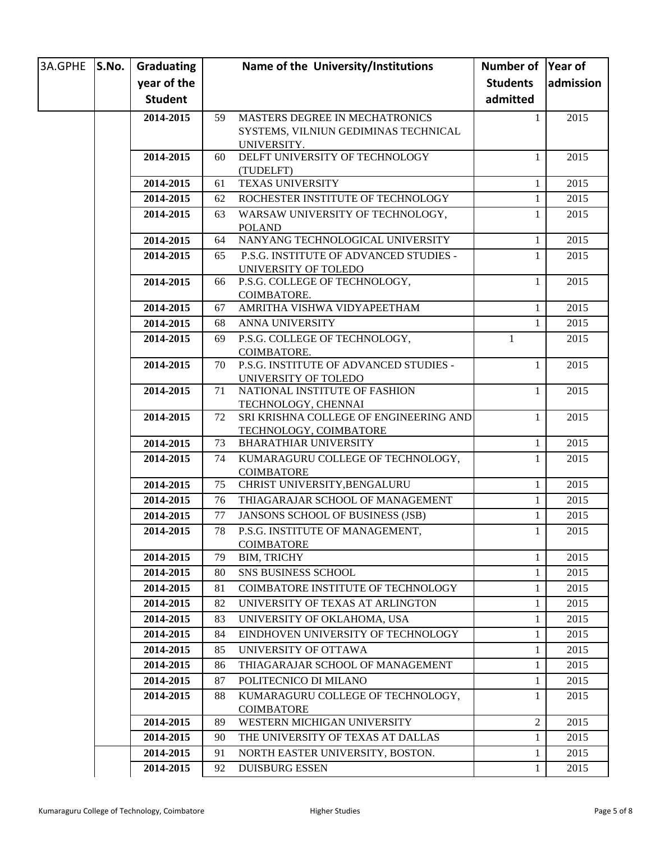| 3A.GPHE S.No. | Graduating     |    | Name of the University/Institutions                   | Number of Year of |           |
|---------------|----------------|----|-------------------------------------------------------|-------------------|-----------|
|               | year of the    |    |                                                       | <b>Students</b>   | admission |
|               | <b>Student</b> |    |                                                       | admitted          |           |
|               | 2014-2015      | 59 | MASTERS DEGREE IN MECHATRONICS                        | 1                 | 2015      |
|               |                |    | SYSTEMS, VILNIUN GEDIMINAS TECHNICAL                  |                   |           |
|               |                |    | UNIVERSITY.                                           |                   |           |
|               | 2014-2015      | 60 | DELFT UNIVERSITY OF TECHNOLOGY                        | 1                 | 2015      |
|               | 2014-2015      | 61 | (TUDELFT)<br>TEXAS UNIVERSITY                         | $\mathbf{1}$      | 2015      |
|               | 2014-2015      | 62 | ROCHESTER INSTITUTE OF TECHNOLOGY                     | 1                 | 2015      |
|               | 2014-2015      | 63 | WARSAW UNIVERSITY OF TECHNOLOGY,                      | 1                 | 2015      |
|               |                |    | <b>POLAND</b>                                         |                   |           |
|               | 2014-2015      | 64 | NANYANG TECHNOLOGICAL UNIVERSITY                      | 1                 | 2015      |
|               | 2014-2015      | 65 | P.S.G. INSTITUTE OF ADVANCED STUDIES -                | 1                 | 2015      |
|               |                |    | UNIVERSITY OF TOLEDO                                  |                   |           |
|               | 2014-2015      | 66 | P.S.G. COLLEGE OF TECHNOLOGY,                         | 1                 | 2015      |
|               |                |    | COIMBATORE.                                           |                   |           |
|               | 2014-2015      | 67 | AMRITHA VISHWA VIDYAPEETHAM                           | 1                 | 2015      |
|               | 2014-2015      | 68 | ANNA UNIVERSITY                                       | $\mathbf{1}$      | 2015      |
|               | 2014-2015      | 69 | P.S.G. COLLEGE OF TECHNOLOGY,                         | 1                 | 2015      |
|               | 2014-2015      | 70 | COIMBATORE.<br>P.S.G. INSTITUTE OF ADVANCED STUDIES - | 1                 | 2015      |
|               |                |    | UNIVERSITY OF TOLEDO                                  |                   |           |
|               | 2014-2015      | 71 | NATIONAL INSTITUTE OF FASHION                         | 1                 | 2015      |
|               |                |    | TECHNOLOGY, CHENNAI                                   |                   |           |
|               | 2014-2015      | 72 | SRI KRISHNA COLLEGE OF ENGINEERING AND                | 1                 | 2015      |
|               |                |    | TECHNOLOGY, COIMBATORE                                |                   |           |
|               | 2014-2015      | 73 | <b>BHARATHIAR UNIVERSITY</b>                          | 1                 | 2015      |
|               | 2014-2015      | 74 | KUMARAGURU COLLEGE OF TECHNOLOGY,                     | 1                 | 2015      |
|               | 2014-2015      | 75 | <b>COIMBATORE</b><br>CHRIST UNIVERSITY, BENGALURU     | 1                 | 2015      |
|               | 2014-2015      | 76 | THIAGARAJAR SCHOOL OF MANAGEMENT                      | 1                 | 2015      |
|               | 2014-2015      | 77 | <b>JANSONS SCHOOL OF BUSINESS (JSB)</b>               | 1                 | 2015      |
|               |                | 78 | P.S.G. INSTITUTE OF MANAGEMENT,                       | $\mathbf{1}$      | 2015      |
|               | 2014-2015      |    | COIMBATORE                                            |                   |           |
|               | 2014-2015      | 79 | <b>BIM, TRICHY</b>                                    | 1                 | 2015      |
|               | 2014-2015      | 80 | <b>SNS BUSINESS SCHOOL</b>                            | $\mathbf{1}$      | 2015      |
|               | 2014-2015      | 81 | COIMBATORE INSTITUTE OF TECHNOLOGY                    | 1                 | 2015      |
|               | 2014-2015      | 82 | UNIVERSITY OF TEXAS AT ARLINGTON                      | 1                 | 2015      |
|               | 2014-2015      | 83 | UNIVERSITY OF OKLAHOMA, USA                           | 1                 | 2015      |
|               | 2014-2015      | 84 | EINDHOVEN UNIVERSITY OF TECHNOLOGY                    | 1                 | 2015      |
|               | 2014-2015      | 85 | UNIVERSITY OF OTTAWA                                  | 1                 | 2015      |
|               | 2014-2015      | 86 | THIAGARAJAR SCHOOL OF MANAGEMENT                      | 1                 | 2015      |
|               | 2014-2015      | 87 | POLITECNICO DI MILANO                                 | $\mathbf{1}$      | 2015      |
|               | 2014-2015      | 88 | KUMARAGURU COLLEGE OF TECHNOLOGY,                     | 1                 | 2015      |
|               |                |    | <b>COIMBATORE</b>                                     |                   |           |
|               | 2014-2015      | 89 | WESTERN MICHIGAN UNIVERSITY                           | 2                 | 2015      |
|               | 2014-2015      | 90 | THE UNIVERSITY OF TEXAS AT DALLAS                     | 1                 | 2015      |
|               | 2014-2015      | 91 | NORTH EASTER UNIVERSITY, BOSTON.                      | 1                 | 2015      |
|               | 2014-2015      | 92 | <b>DUISBURG ESSEN</b>                                 | 1                 | 2015      |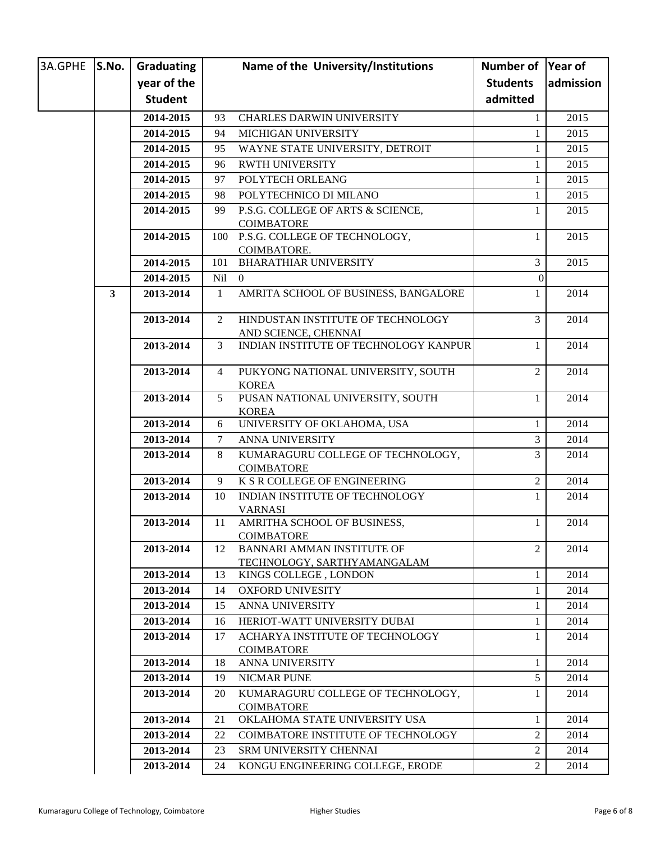| 3A.GPHE | S.No.        | Graduating     |              | Name of the University/Institutions                       | Number of Year of |           |
|---------|--------------|----------------|--------------|-----------------------------------------------------------|-------------------|-----------|
|         |              | year of the    |              |                                                           | <b>Students</b>   | admission |
|         |              | <b>Student</b> |              |                                                           | admitted          |           |
|         |              | 2014-2015      | 93           | <b>CHARLES DARWIN UNIVERSITY</b>                          | 1                 | 2015      |
|         |              | 2014-2015      | 94           | MICHIGAN UNIVERSITY                                       | $\mathbf{1}$      | 2015      |
|         |              | 2014-2015      | 95           | WAYNE STATE UNIVERSITY, DETROIT                           | 1                 | 2015      |
|         |              | 2014-2015      | 96           | <b>RWTH UNIVERSITY</b>                                    | 1                 | 2015      |
|         |              | 2014-2015      | 97           | POLYTECH ORLEANG                                          | 1                 | 2015      |
|         |              | 2014-2015      | 98           | POLYTECHNICO DI MILANO                                    | 1                 | 2015      |
|         |              | 2014-2015      | 99           | P.S.G. COLLEGE OF ARTS & SCIENCE,                         | 1                 | 2015      |
|         |              |                |              | <b>COIMBATORE</b>                                         |                   |           |
|         |              | 2014-2015      | 100          | P.S.G. COLLEGE OF TECHNOLOGY,                             | 1                 | 2015      |
|         |              |                |              | COIMBATORE.                                               |                   |           |
|         |              | 2014-2015      | 101          | <b>BHARATHIAR UNIVERSITY</b>                              | 3                 | 2015      |
|         |              | 2014-2015      | Nil          | $\Omega$                                                  | $\theta$          |           |
|         | $\mathbf{3}$ | 2013-2014      | $\mathbf{1}$ | AMRITA SCHOOL OF BUSINESS, BANGALORE                      | 1                 | 2014      |
|         |              | 2013-2014      | 2            | HINDUSTAN INSTITUTE OF TECHNOLOGY<br>AND SCIENCE, CHENNAI | 3                 | 2014      |
|         |              | 2013-2014      | 3            | INDIAN INSTITUTE OF TECHNOLOGY KANPUR                     | 1                 | 2014      |
|         |              | 2013-2014      | 4            | PUKYONG NATIONAL UNIVERSITY, SOUTH<br><b>KOREA</b>        | 2                 | 2014      |
|         |              | 2013-2014      | 5            | PUSAN NATIONAL UNIVERSITY, SOUTH<br><b>KOREA</b>          | 1                 | 2014      |
|         |              | 2013-2014      | 6            | UNIVERSITY OF OKLAHOMA, USA                               | 1                 | 2014      |
|         |              | 2013-2014      | $\tau$       | ANNA UNIVERSITY                                           | 3                 | 2014      |
|         |              | 2013-2014      | 8            | KUMARAGURU COLLEGE OF TECHNOLOGY,<br><b>COIMBATORE</b>    | 3                 | 2014      |
|         |              | 2013-2014      | 9            | K S R COLLEGE OF ENGINEERING                              | $\overline{c}$    | 2014      |
|         |              | 2013-2014      | 10           | INDIAN INSTITUTE OF TECHNOLOGY<br><b>VARNASI</b>          | 1                 | 2014      |
|         |              | 2013-2014      | 11           | AMRITHA SCHOOL OF BUSINESS,                               | 1                 | 2014      |
|         |              | 2013-2014      | 12           | <b>COIMBATORE</b><br><b>BANNARI AMMAN INSTITUTE OF</b>    | 2                 | 2014      |
|         |              |                |              | TECHNOLOGY, SARTHYAMANGALAM                               |                   |           |
|         |              | 2013-2014      | 13           | KINGS COLLEGE, LONDON                                     | 1                 | 2014      |
|         |              | 2013-2014      | 14           | <b>OXFORD UNIVESITY</b>                                   | 1                 | 2014      |
|         |              | 2013-2014      | 15           | ANNA UNIVERSITY                                           | 1                 | 2014      |
|         |              | 2013-2014      | 16           | HERIOT-WATT UNIVERSITY DUBAI                              | 1                 | 2014      |
|         |              | 2013-2014      | 17           | ACHARYA INSTITUTE OF TECHNOLOGY<br><b>COIMBATORE</b>      | 1                 | 2014      |
|         |              | 2013-2014      | 18           | ANNA UNIVERSITY                                           | $\mathbf{1}$      | 2014      |
|         |              | 2013-2014      | 19           | <b>NICMAR PUNE</b>                                        | 5                 | 2014      |
|         |              | 2013-2014      | 20           | KUMARAGURU COLLEGE OF TECHNOLOGY,                         | 1                 | 2014      |
|         |              | 2013-2014      | 21           | <b>COIMBATORE</b><br>OKLAHOMA STATE UNIVERSITY USA        | $\mathbf{1}$      | 2014      |
|         |              | 2013-2014      | 22           | COIMBATORE INSTITUTE OF TECHNOLOGY                        | 2                 | 2014      |
|         |              | 2013-2014      | 23           | SRM UNIVERSITY CHENNAI                                    | 2                 | 2014      |
|         |              | 2013-2014      | 24           | KONGU ENGINEERING COLLEGE, ERODE                          | $\overline{2}$    | 2014      |
|         |              |                |              |                                                           |                   |           |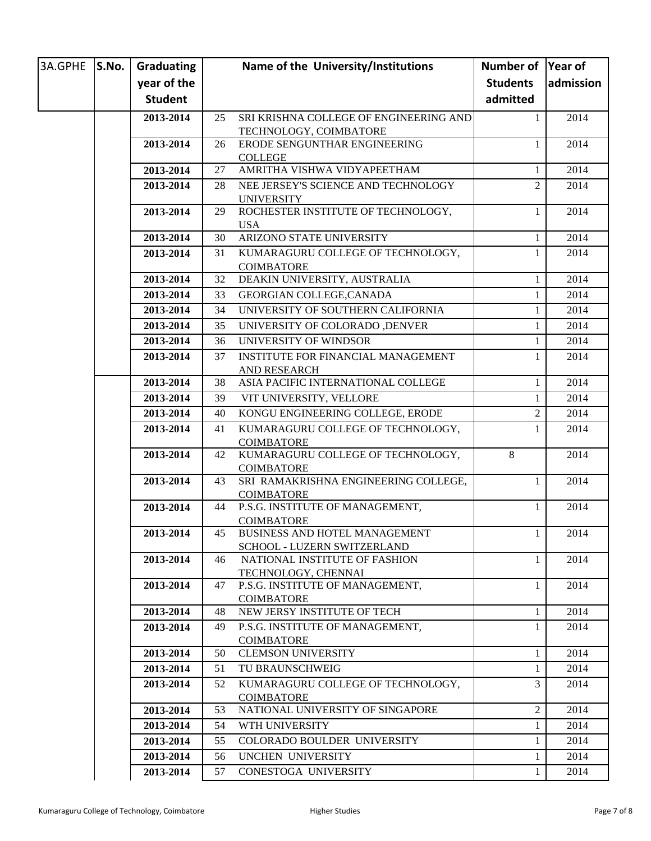| 3A.GPHE S.No. | Graduating     |    | Name of the University/Institutions                       | Number of Year of |           |
|---------------|----------------|----|-----------------------------------------------------------|-------------------|-----------|
|               | year of the    |    |                                                           | <b>Students</b>   | admission |
|               | <b>Student</b> |    |                                                           | admitted          |           |
|               | 2013-2014      | 25 | SRI KRISHNA COLLEGE OF ENGINEERING AND                    | 1                 | 2014      |
|               |                |    | TECHNOLOGY, COIMBATORE                                    |                   |           |
|               | 2013-2014      | 26 | ERODE SENGUNTHAR ENGINEERING                              | 1                 | 2014      |
|               |                |    | <b>COLLEGE</b>                                            |                   |           |
|               | 2013-2014      | 27 | AMRITHA VISHWA VIDYAPEETHAM                               | 1                 | 2014      |
|               | 2013-2014      | 28 | NEE JERSEY'S SCIENCE AND TECHNOLOGY                       | $\overline{2}$    | 2014      |
|               |                |    | <b>UNIVERSITY</b>                                         |                   |           |
|               | 2013-2014      | 29 | ROCHESTER INSTITUTE OF TECHNOLOGY,                        | 1                 | 2014      |
|               | 2013-2014      | 30 | <b>USA</b><br>ARIZONO STATE UNIVERSITY                    | 1                 | 2014      |
|               | 2013-2014      | 31 | KUMARAGURU COLLEGE OF TECHNOLOGY,                         | 1                 | 2014      |
|               |                |    | <b>COIMBATORE</b>                                         |                   |           |
|               | 2013-2014      | 32 | DEAKIN UNIVERSITY, AUSTRALIA                              | 1                 | 2014      |
|               | 2013-2014      | 33 | GEORGIAN COLLEGE, CANADA                                  | 1                 | 2014      |
|               | 2013-2014      | 34 | UNIVERSITY OF SOUTHERN CALIFORNIA                         | 1                 | 2014      |
|               | 2013-2014      | 35 | UNIVERSITY OF COLORADO , DENVER                           | 1                 | 2014      |
|               | 2013-2014      | 36 | UNIVERSITY OF WINDSOR                                     | 1                 | 2014      |
|               | 2013-2014      | 37 | <b>INSTITUTE FOR FINANCIAL MANAGEMENT</b>                 | 1                 | 2014      |
|               |                |    | AND RESEARCH                                              |                   |           |
|               | 2013-2014      | 38 | ASIA PACIFIC INTERNATIONAL COLLEGE                        | 1                 | 2014      |
|               | 2013-2014      | 39 | VIT UNIVERSITY, VELLORE                                   | 1                 | 2014      |
|               | 2013-2014      | 40 | KONGU ENGINEERING COLLEGE, ERODE                          | 2                 | 2014      |
|               | 2013-2014      | 41 | KUMARAGURU COLLEGE OF TECHNOLOGY,                         | 1                 | 2014      |
|               |                |    | <b>COIMBATORE</b>                                         |                   |           |
|               | 2013-2014      | 42 | KUMARAGURU COLLEGE OF TECHNOLOGY,                         | 8                 | 2014      |
|               |                |    | <b>COIMBATORE</b><br>SRI RAMAKRISHNA ENGINEERING COLLEGE, |                   |           |
|               | 2013-2014      | 43 | <b>COIMBATORE</b>                                         | 1                 | 2014      |
|               | 2013-2014      | 44 | P.S.G. INSTITUTE OF MANAGEMENT,                           | 1                 | 2014      |
|               |                |    | <b>COIMBATORE</b>                                         |                   |           |
|               | 2013-2014      | 45 | BUSINESS AND HOTEL MANAGEMENT                             | $\mathbf{1}$      | 2014      |
|               |                |    | <b>SCHOOL - LUZERN SWITZERLAND</b>                        |                   |           |
|               | 2013-2014      | 46 | NATIONAL INSTITUTE OF FASHION                             | 1                 | 2014      |
|               |                |    | TECHNOLOGY, CHENNAI                                       |                   |           |
|               | 2013-2014      | 47 | P.S.G. INSTITUTE OF MANAGEMENT,<br><b>COIMBATORE</b>      | 1                 | 2014      |
|               | 2013-2014      | 48 | NEW JERSY INSTITUTE OF TECH                               | 1                 | 2014      |
|               | 2013-2014      | 49 | P.S.G. INSTITUTE OF MANAGEMENT,                           | 1                 | 2014      |
|               |                |    | <b>COIMBATORE</b>                                         |                   |           |
|               | 2013-2014      | 50 | <b>CLEMSON UNIVERSITY</b>                                 | 1                 | 2014      |
|               | 2013-2014      | 51 | TU BRAUNSCHWEIG                                           | 1                 | 2014      |
|               | 2013-2014      | 52 | KUMARAGURU COLLEGE OF TECHNOLOGY,                         | 3                 | 2014      |
|               |                |    | <b>COIMBATORE</b>                                         |                   |           |
|               | 2013-2014      | 53 | NATIONAL UNIVERSITY OF SINGAPORE                          | $\overline{2}$    | 2014      |
|               | 2013-2014      | 54 | WTH UNIVERSITY                                            | 1                 | 2014      |
|               | 2013-2014      | 55 | COLORADO BOULDER UNIVERSITY                               | 1                 | 2014      |
|               | 2013-2014      | 56 | UNCHEN UNIVERSITY                                         | 1                 | 2014      |
|               | 2013-2014      | 57 | CONESTOGA UNIVERSITY                                      | 1                 | 2014      |